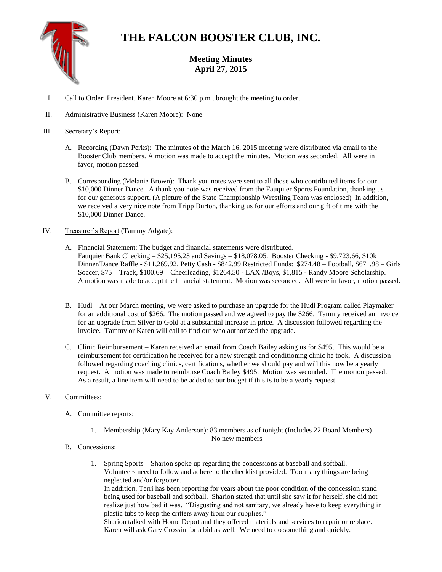

# **THE FALCON BOOSTER CLUB, INC.**

# **Meeting Minutes April 27, 2015**

- I. Call to Order: President, Karen Moore at 6:30 p.m., brought the meeting to order.
- II. Administrative Business (Karen Moore): None

# III. Secretary's Report:

- A. Recording (Dawn Perks): The minutes of the March 16, 2015 meeting were distributed via email to the Booster Club members. A motion was made to accept the minutes. Motion was seconded. All were in favor, motion passed.
- B. Corresponding (Melanie Brown): Thank you notes were sent to all those who contributed items for our \$10,000 Dinner Dance. A thank you note was received from the Fauquier Sports Foundation, thanking us for our generous support. (A picture of the State Championship Wrestling Team was enclosed) In addition, we received a very nice note from Tripp Burton, thanking us for our efforts and our gift of time with the \$10,000 Dinner Dance.

# IV. Treasurer's Report (Tammy Adgate):

- A. Financial Statement: The budget and financial statements were distributed. Fauquier Bank Checking – \$25,195.23 and Savings – \$18,078.05. Booster Checking - \$9,723.66, \$10k Dinner/Dance Raffle - \$11,269.92, Petty Cash - \$842.99 Restricted Funds: \$274.48 – Football, \$671.98 – Girls Soccer, \$75 – Track, \$100.69 – Cheerleading, \$1264.50 - LAX /Boys, \$1,815 - Randy Moore Scholarship. A motion was made to accept the financial statement. Motion was seconded. All were in favor, motion passed.
- B. Hudl At our March meeting, we were asked to purchase an upgrade for the Hudl Program called Playmaker for an additional cost of \$266. The motion passed and we agreed to pay the \$266. Tammy received an invoice for an upgrade from Silver to Gold at a substantial increase in price. A discussion followed regarding the invoice. Tammy or Karen will call to find out who authorized the upgrade.
- C. Clinic Reimbursement Karen received an email from Coach Bailey asking us for \$495. This would be a reimbursement for certification he received for a new strength and conditioning clinic he took. A discussion followed regarding coaching clinics, certifications, whether we should pay and will this now be a yearly request. A motion was made to reimburse Coach Bailey \$495. Motion was seconded. The motion passed. As a result, a line item will need to be added to our budget if this is to be a yearly request.

# V. Committees:

- A. Committee reports:
	- 1. Membership (Mary Kay Anderson): 83 members as of tonight (Includes 22 Board Members) No new members
- B. Concessions:
	- 1. Spring Sports Sharion spoke up regarding the concessions at baseball and softball. Volunteers need to follow and adhere to the checklist provided. Too many things are being neglected and/or forgotten.

In addition, Terri has been reporting for years about the poor condition of the concession stand being used for baseball and softball. Sharion stated that until she saw it for herself, she did not realize just how bad it was. "Disgusting and not sanitary, we already have to keep everything in plastic tubs to keep the critters away from our supplies."

Sharion talked with Home Depot and they offered materials and services to repair or replace. Karen will ask Gary Crossin for a bid as well. We need to do something and quickly.